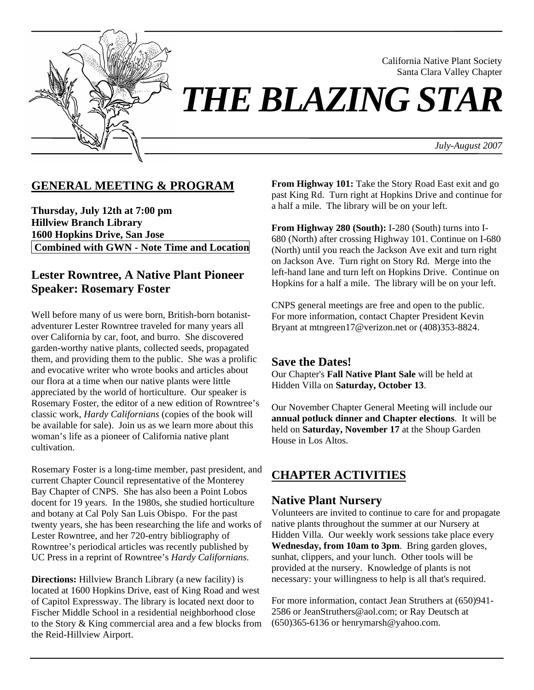

Santa Clara Valley Chapter *THE BLAZING STAR* 

*July-August 2007*

California Native Plant Society

## **GENERAL MEETING & PROGRAM**

**Thursday, July 12th at 7:00 pm Hillview Branch Library 1600 Hopkins Drive, San Jose Combined with GWN - Note Time and Location** 

## **Lester Rowntree, A Native Plant Pioneer Speaker: Rosemary Foster**

Well before many of us were born, British-born botanistadventurer Lester Rowntree traveled for many years all over California by car, foot, and burro. She discovered garden-worthy native plants, collected seeds, propagated them, and providing them to the public. She was a prolific and evocative writer who wrote books and articles about our flora at a time when our native plants were little appreciated by the world of horticulture. Our speaker is Rosemary Foster, the editor of a new edition of Rowntree's classic work, *Hardy Californians* (copies of the book will be available for sale). Join us as we learn more about this woman's life as a pioneer of California native plant cultivation.

Rosemary Foster is a long-time member, past president, and current Chapter Council representative of the Monterey Bay Chapter of CNPS. She has also been a Point Lobos docent for 19 years. In the 1980s, she studied horticulture and botany at Cal Poly San Luis Obispo. For the past twenty years, she has been researching the life and works of Lester Rowntree, and her 720-entry bibliography of Rowntree's periodical articles was recently published by UC Press in a reprint of Rowntree's *Hardy Californians*.

**Directions:** Hillview Branch Library (a new facility) is located at 1600 Hopkins Drive, east of King Road and west of Capitol Expressway. The library is located next door to Fischer Middle School in a residential neighborhood close to the Story & King commercial area and a few blocks from the Reid-Hillview Airport.

**From Highway 101:** Take the Story Road East exit and go past King Rd. Turn right at Hopkins Drive and continue for a half a mile. The library will be on your left.

**From Highway 280 (South):** I-280 (South) turns into I-680 (North) after crossing Highway 101. Continue on I-680 (North) until you reach the Jackson Ave exit and turn right on Jackson Ave. Turn right on Story Rd. Merge into the left-hand lane and turn left on Hopkins Drive. Continue on Hopkins for a half a mile. The library will be on your left.

CNPS general meetings are free and open to the public. For more information, contact Chapter President Kevin Bryant at mtngreen17@verizon.net or (408)353-8824.

#### **Save the Dates!**

Our Chapter's **Fall Native Plant Sale** will be held at Hidden Villa on **Saturday, October 13**.

Our November Chapter General Meeting will include our **annual potluck dinner and Chapter elections**. It will be held on **Saturday, November 17** at the Shoup Garden House in Los Altos.

# **CHAPTER ACTIVITIES**

#### **Native Plant Nursery**

Volunteers are invited to continue to care for and propagate native plants throughout the summer at our Nursery at Hidden Villa. Our weekly work sessions take place every **Wednesday, from 10am to 3pm**. Bring garden gloves, sunhat, clippers, and your lunch. Other tools will be provided at the nursery. Knowledge of plants is not necessary: your willingness to help is all that's required.

For more information, contact Jean Struthers at (650)941- 2586 or JeanStruthers@aol.com; or Ray Deutsch at (650)365-6136 or henrymarsh@yahoo.com.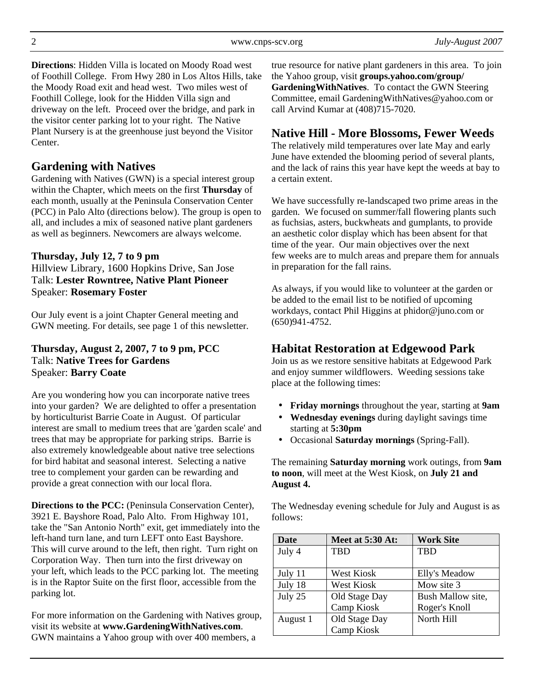**Directions**: Hidden Villa is located on Moody Road west of Foothill College. From Hwy 280 in Los Altos Hills, take the Moody Road exit and head west. Two miles west of Foothill College, look for the Hidden Villa sign and driveway on the left. Proceed over the bridge, and park in the visitor center parking lot to your right. The Native Plant Nursery is at the greenhouse just beyond the Visitor Center.

## **Gardening with Natives**

Gardening with Natives (GWN) is a special interest group within the Chapter, which meets on the first **Thursday** of each month, usually at the Peninsula Conservation Center (PCC) in Palo Alto (directions below). The group is open to all, and includes a mix of seasoned native plant gardeners as well as beginners. Newcomers are always welcome.

### **Thursday, July 12, 7 to 9 pm**

Hillview Library, 1600 Hopkins Drive, San Jose Talk: **Lester Rowntree, Native Plant Pioneer** Speaker: **Rosemary Foster**

Our July event is a joint Chapter General meeting and GWN meeting. For details, see page 1 of this newsletter.

#### **Thursday, August 2, 2007, 7 to 9 pm, PCC**  Talk: **Native Trees for Gardens** Speaker: **Barry Coate**

Are you wondering how you can incorporate native trees into your garden? We are delighted to offer a presentation by horticulturist Barrie Coate in August. Of particular interest are small to medium trees that are 'garden scale' and trees that may be appropriate for parking strips. Barrie is also extremely knowledgeable about native tree selections for bird habitat and seasonal interest. Selecting a native tree to complement your garden can be rewarding and provide a great connection with our local flora.

**Directions to the PCC:** (Peninsula Conservation Center), 3921 E. Bayshore Road, Palo Alto. From Highway 101, take the "San Antonio North" exit, get immediately into the left-hand turn lane, and turn LEFT onto East Bayshore. This will curve around to the left, then right. Turn right on Corporation Way. Then turn into the first driveway on your left, which leads to the PCC parking lot. The meeting is in the Raptor Suite on the first floor, accessible from the parking lot.

For more information on the Gardening with Natives group, visit its website at **www.GardeningWithNatives.com**. GWN maintains a Yahoo group with over 400 members, a

true resource for native plant gardeners in this area. To join the Yahoo group, visit **groups.yahoo.com/group/ GardeningWithNatives**. To contact the GWN Steering Committee, email GardeningWithNatives@yahoo.com or call Arvind Kumar at (408)715-7020.

# **Native Hill - More Blossoms, Fewer Weeds**

The relatively mild temperatures over late May and early June have extended the blooming period of several plants, and the lack of rains this year have kept the weeds at bay to a certain extent.

We have successfully re-landscaped two prime areas in the garden. We focused on summer/fall flowering plants such as fuchsias, asters, buckwheats and gumplants, to provide an aesthetic color display which has been absent for that time of the year. Our main objectives over the next few weeks are to mulch areas and prepare them for annuals in preparation for the fall rains.

As always, if you would like to volunteer at the garden or be added to the email list to be notified of upcoming workdays, contact Phil Higgins at phidor@juno.com or (650)941-4752.

# **Habitat Restoration at Edgewood Park**

Join us as we restore sensitive habitats at Edgewood Park and enjoy summer wildflowers. Weeding sessions take place at the following times:

- **Friday mornings** throughout the year, starting at **9am**
- **Wednesday evenings** during daylight savings time starting at **5:30pm**
- Occasional **Saturday mornings** (Spring-Fall).

The remaining **Saturday morning** work outings, from **9am to noon**, will meet at the West Kiosk, on **July 21 and August 4.** 

The Wednesday evening schedule for July and August is as follows:

| Date     | Meet at 5:30 At:  | <b>Work Site</b>  |  |
|----------|-------------------|-------------------|--|
| July 4   | <b>TBD</b>        | <b>TBD</b>        |  |
|          |                   |                   |  |
| July 11  | <b>West Kiosk</b> | Elly's Meadow     |  |
| July 18  | <b>West Kiosk</b> | Mow site 3        |  |
| July 25  | Old Stage Day     | Bush Mallow site, |  |
|          | Camp Kiosk        | Roger's Knoll     |  |
| August 1 | Old Stage Day     | North Hill        |  |
|          | Camp Kiosk        |                   |  |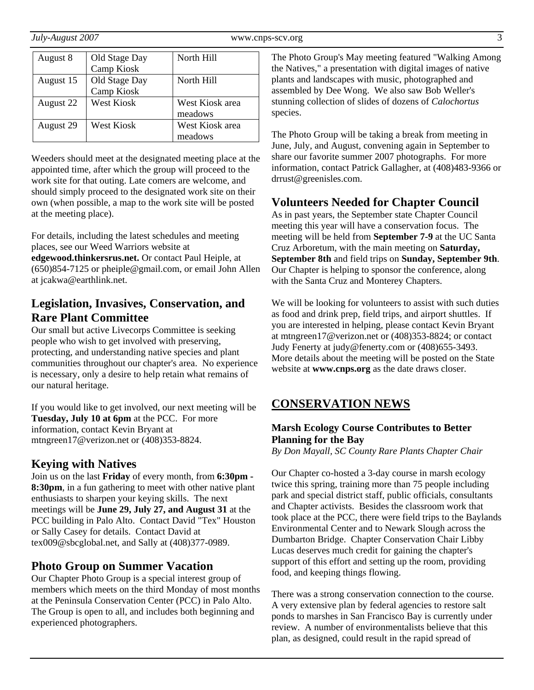| August 8  | Old Stage Day | North Hill      |
|-----------|---------------|-----------------|
|           | Camp Kiosk    |                 |
| August 15 | Old Stage Day | North Hill      |
|           | Camp Kiosk    |                 |
| August 22 | West Kiosk    | West Kiosk area |
|           |               | meadows         |
| August 29 | West Kiosk    | West Kiosk area |
|           |               | meadows         |

Weeders should meet at the designated meeting place at the appointed time, after which the group will proceed to the work site for that outing. Late comers are welcome, and should simply proceed to the designated work site on their own (when possible, a map to the work site will be posted at the meeting place).

For details, including the latest schedules and meeting places, see our Weed Warriors website at

**edgewood.thinkersrus.net.** Or contact Paul Heiple, at (650)854-7125 or pheiple@gmail.com, or email John Allen at jcakwa@earthlink.net.

## **Legislation, Invasives, Conservation, and Rare Plant Committee**

Our small but active Livecorps Committee is seeking people who wish to get involved with preserving, protecting, and understanding native species and plant communities throughout our chapter's area. No experience is necessary, only a desire to help retain what remains of our natural heritage.

If you would like to get involved, our next meeting will be **Tuesday, July 10 at 6pm** at the PCC. For more information, contact Kevin Bryant at mtngreen17@verizon.net or (408)353-8824.

## **Keying with Natives**

Join us on the last **Friday** of every month, from **6:30pm - 8:30pm**, in a fun gathering to meet with other native plant enthusiasts to sharpen your keying skills. The next meetings will be **June 29, July 27, and August 31** at the PCC building in Palo Alto. Contact David "Tex" Houston or Sally Casey for details. Contact David at tex009@sbcglobal.net, and Sally at (408)377-0989.

## **Photo Group on Summer Vacation**

Our Chapter Photo Group is a special interest group of members which meets on the third Monday of most months at the Peninsula Conservation Center (PCC) in Palo Alto. The Group is open to all, and includes both beginning and experienced photographers.

The Photo Group's May meeting featured "Walking Among the Natives," a presentation with digital images of native plants and landscapes with music, photographed and assembled by Dee Wong. We also saw Bob Weller's stunning collection of slides of dozens of *Calochortus* species.

The Photo Group will be taking a break from meeting in June, July, and August, convening again in September to share our favorite summer 2007 photographs. For more information, contact Patrick Gallagher, at (408)483-9366 or drrust@greenisles.com.

## **Volunteers Needed for Chapter Council**

As in past years, the September state Chapter Council meeting this year will have a conservation focus. The meeting will be held from **September 7-9** at the UC Santa Cruz Arboretum, with the main meeting on **Saturday, September 8th** and field trips on **Sunday, September 9th**. Our Chapter is helping to sponsor the conference, along with the Santa Cruz and Monterey Chapters.

We will be looking for volunteers to assist with such duties as food and drink prep, field trips, and airport shuttles. If you are interested in helping, please contact Kevin Bryant at mtngreen17@verizon.net or (408)353-8824; or contact Judy Fenerty at judy@fenerty.com or (408)655-3493. More details about the meeting will be posted on the State website at **www.cnps.org** as the date draws closer.

# **CONSERVATION NEWS**

#### **Marsh Ecology Course Contributes to Better Planning for the Bay**

*By Don Mayall, SC County Rare Plants Chapter Chair* 

Our Chapter co-hosted a 3-day course in marsh ecology twice this spring, training more than 75 people including park and special district staff, public officials, consultants and Chapter activists. Besides the classroom work that took place at the PCC, there were field trips to the Baylands Environmental Center and to Newark Slough across the Dumbarton Bridge. Chapter Conservation Chair Libby Lucas deserves much credit for gaining the chapter's support of this effort and setting up the room, providing food, and keeping things flowing.

There was a strong conservation connection to the course. A very extensive plan by federal agencies to restore salt ponds to marshes in San Francisco Bay is currently under review. A number of environmentalists believe that this plan, as designed, could result in the rapid spread of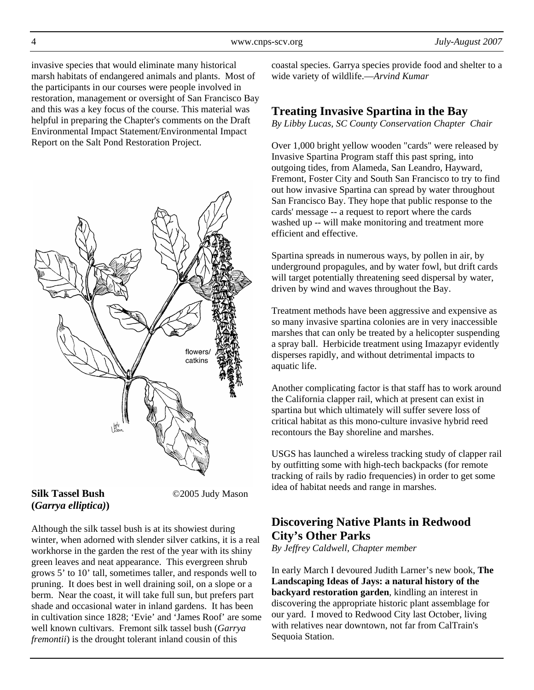invasive species that would eliminate many historical marsh habitats of endangered animals and plants. Most of the participants in our courses were people involved in restoration, management or oversight of San Francisco Bay and this was a key focus of the course. This material was helpful in preparing the Chapter's comments on the Draft Environmental Impact Statement/Environmental Impact Report on the Salt Pond Restoration Project.



# **(***Garrya elliptica)***)**

**Silk Tassel Bush** ©2005 Judy Mason

Although the silk tassel bush is at its showiest during winter, when adorned with slender silver catkins, it is a real workhorse in the garden the rest of the year with its shiny green leaves and neat appearance. This evergreen shrub grows 5' to 10' tall, sometimes taller, and responds well to pruning. It does best in well draining soil, on a slope or a berm. Near the coast, it will take full sun, but prefers part shade and occasional water in inland gardens. It has been in cultivation since 1828; 'Evie' and 'James Roof' are some well known cultivars. Fremont silk tassel bush (*Garrya fremontii*) is the drought tolerant inland cousin of this

coastal species. Garrya species provide food and shelter to a wide variety of wildlife.—*Arvind Kumar*

# **Treating Invasive Spartina in the Bay**

*By Libby Lucas, SC County Conservation Chapter Chair* 

Over 1,000 bright yellow wooden "cards" were released by Invasive Spartina Program staff this past spring, into outgoing tides, from Alameda, San Leandro, Hayward, Fremont, Foster City and South San Francisco to try to find out how invasive Spartina can spread by water throughout San Francisco Bay. They hope that public response to the cards' message -- a request to report where the cards washed up -- will make monitoring and treatment more efficient and effective.

Spartina spreads in numerous ways, by pollen in air, by underground propagules, and by water fowl, but drift cards will target potentially threatening seed dispersal by water, driven by wind and waves throughout the Bay.

Treatment methods have been aggressive and expensive as so many invasive spartina colonies are in very inaccessible marshes that can only be treated by a helicopter suspending a spray ball. Herbicide treatment using Imazapyr evidently disperses rapidly, and without detrimental impacts to aquatic life.

Another complicating factor is that staff has to work around the California clapper rail, which at present can exist in spartina but which ultimately will suffer severe loss of critical habitat as this mono-culture invasive hybrid reed recontours the Bay shoreline and marshes.

USGS has launched a wireless tracking study of clapper rail by outfitting some with high-tech backpacks (for remote tracking of rails by radio frequencies) in order to get some idea of habitat needs and range in marshes.

# **Discovering Native Plants in Redwood City's Other Parks**

*By Jeffrey Caldwell, Chapter member* 

In early March I devoured Judith Larner's new book, **The Landscaping Ideas of Jays: a natural history of the backyard restoration garden**, kindling an interest in discovering the appropriate historic plant assemblage for our yard. I moved to Redwood City last October, living with relatives near downtown, not far from CalTrain's Sequoia Station.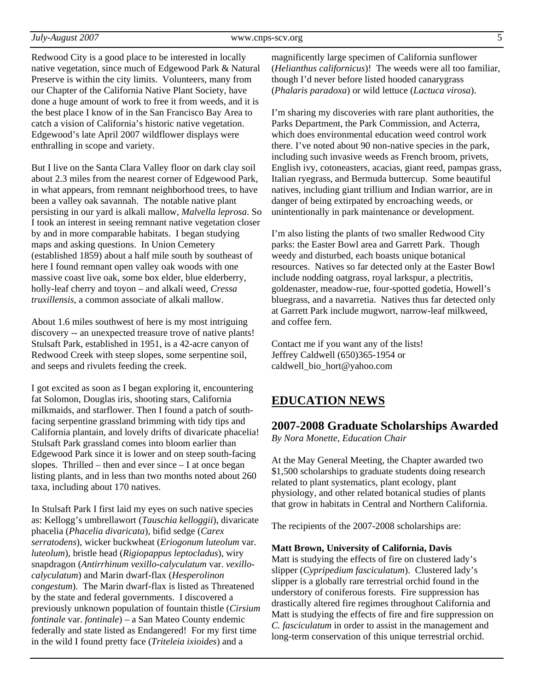Redwood City is a good place to be interested in locally native vegetation, since much of Edgewood Park & Natural Preserve is within the city limits. Volunteers, many from our Chapter of the California Native Plant Society, have done a huge amount of work to free it from weeds, and it is the best place I know of in the San Francisco Bay Area to catch a vision of California's historic native vegetation. Edgewood's late April 2007 wildflower displays were enthralling in scope and variety.

But I live on the Santa Clara Valley floor on dark clay soil about 2.3 miles from the nearest corner of Edgewood Park, in what appears, from remnant neighborhood trees, to have been a valley oak savannah. The notable native plant persisting in our yard is alkali mallow, *Malvella leprosa*. So I took an interest in seeing remnant native vegetation closer by and in more comparable habitats. I began studying maps and asking questions. In Union Cemetery (established 1859) about a half mile south by southeast of here I found remnant open valley oak woods with one massive coast live oak, some box elder, blue elderberry, holly-leaf cherry and toyon – and alkali weed, *Cressa truxillensis*, a common associate of alkali mallow.

About 1.6 miles southwest of here is my most intriguing discovery -- an unexpected treasure trove of native plants! Stulsaft Park, established in 1951, is a 42-acre canyon of Redwood Creek with steep slopes, some serpentine soil, and seeps and rivulets feeding the creek.

I got excited as soon as I began exploring it, encountering fat Solomon, Douglas iris, shooting stars, California milkmaids, and starflower. Then I found a patch of southfacing serpentine grassland brimming with tidy tips and California plantain, and lovely drifts of divaricate phacelia! Stulsaft Park grassland comes into bloom earlier than Edgewood Park since it is lower and on steep south-facing slopes. Thrilled – then and ever since – I at once began listing plants, and in less than two months noted about 260 taxa, including about 170 natives.

In Stulsaft Park I first laid my eyes on such native species as: Kellogg's umbrellawort (*Tauschia kelloggii*), divaricate phacelia (*Phacelia divaricata*), bifid sedge (*Carex serratodens*), wicker buckwheat (*Eriogonum luteolum* var. *luteolum*), bristle head (*Rigiopappus leptocladus*), wiry snapdragon (*Antirrhinum vexillo-calyculatum* var. *vexillocalyculatum*) and Marin dwarf-flax (*Hesperolinon congestum*). The Marin dwarf-flax is listed as Threatened by the state and federal governments. I discovered a previously unknown population of fountain thistle (*Cirsium fontinale* var. *fontinale*) – a San Mateo County endemic federally and state listed as Endangered! For my first time in the wild I found pretty face (*Triteleia ixioides*) and a

magnificently large specimen of California sunflower (*Helianthus californicus*)! The weeds were all too familiar, though I'd never before listed hooded canarygrass (*Phalaris paradoxa*) or wild lettuce (*Lactuca virosa*).

I'm sharing my discoveries with rare plant authorities, the Parks Department, the Park Commission, and Acterra, which does environmental education weed control work there. I've noted about 90 non-native species in the park, including such invasive weeds as French broom, privets, English ivy, cotoneasters, acacias, giant reed, pampas grass, Italian ryegrass, and Bermuda buttercup. Some beautiful natives, including giant trillium and Indian warrior, are in danger of being extirpated by encroaching weeds, or unintentionally in park maintenance or development.

I'm also listing the plants of two smaller Redwood City parks: the Easter Bowl area and Garrett Park. Though weedy and disturbed, each boasts unique botanical resources. Natives so far detected only at the Easter Bowl include nodding oatgrass, royal larkspur, a plectritis, goldenaster, meadow-rue, four-spotted godetia, Howell's bluegrass, and a navarretia. Natives thus far detected only at Garrett Park include mugwort, narrow-leaf milkweed, and coffee fern.

Contact me if you want any of the lists! Jeffrey Caldwell (650)365-1954 or caldwell\_bio\_hort@yahoo.com

#### **EDUCATION NEWS**

#### **2007-2008 Graduate Scholarships Awarded**

*By Nora Monette, Education Chair* 

At the May General Meeting, the Chapter awarded two \$1,500 scholarships to graduate students doing research related to plant systematics, plant ecology, plant physiology, and other related botanical studies of plants that grow in habitats in Central and Northern California.

The recipients of the 2007-2008 scholarships are:

#### **Matt Brown, University of California, Davis**

Matt is studying the effects of fire on clustered lady's slipper (*Cypripedium fasciculatum*). Clustered lady's slipper is a globally rare terrestrial orchid found in the understory of coniferous forests. Fire suppression has drastically altered fire regimes throughout California and Matt is studying the effects of fire and fire suppression on *C. fasciculatum* in order to assist in the management and long-term conservation of this unique terrestrial orchid.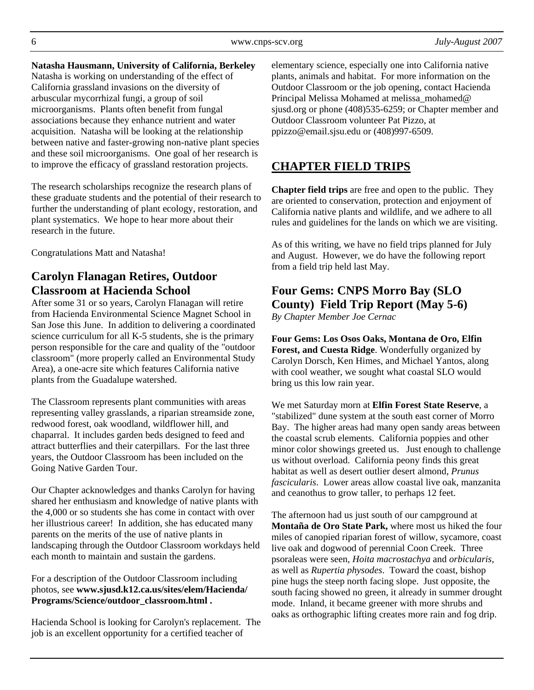**Natasha Hausmann, University of California, Berkeley** Natasha is working on understanding of the effect of California grassland invasions on the diversity of arbuscular mycorrhizal fungi, a group of soil microorganisms. Plants often benefit from fungal associations because they enhance nutrient and water acquisition. Natasha will be looking at the relationship between native and faster-growing non-native plant species and these soil microorganisms. One goal of her research is to improve the efficacy of grassland restoration projects.

The research scholarships recognize the research plans of these graduate students and the potential of their research to further the understanding of plant ecology, restoration, and plant systematics. We hope to hear more about their research in the future.

Congratulations Matt and Natasha!

# **Carolyn Flanagan Retires, Outdoor Classroom at Hacienda School**

After some 31 or so years, Carolyn Flanagan will retire from Hacienda Environmental Science Magnet School in San Jose this June. In addition to delivering a coordinated science curriculum for all K-5 students, she is the primary person responsible for the care and quality of the "outdoor classroom" (more properly called an Environmental Study Area), a one-acre site which features California native plants from the Guadalupe watershed.

The Classroom represents plant communities with areas representing valley grasslands, a riparian streamside zone, redwood forest, oak woodland, wildflower hill, and chaparral. It includes garden beds designed to feed and attract butterflies and their caterpillars. For the last three years, the Outdoor Classroom has been included on the Going Native Garden Tour.

Our Chapter acknowledges and thanks Carolyn for having shared her enthusiasm and knowledge of native plants with the 4,000 or so students she has come in contact with over her illustrious career! In addition, she has educated many parents on the merits of the use of native plants in landscaping through the Outdoor Classroom workdays held each month to maintain and sustain the gardens.

For a description of the Outdoor Classroom including photos, see **www.sjusd.k12.ca.us/sites/elem/Hacienda/ Programs/Science/outdoor\_classroom.html .**

Hacienda School is looking for Carolyn's replacement. The job is an excellent opportunity for a certified teacher of

elementary science, especially one into California native plants, animals and habitat. For more information on the Outdoor Classroom or the job opening, contact Hacienda Principal Melissa Mohamed at melissa\_mohamed@ sjusd.org or phone (408)535-6259; or Chapter member and Outdoor Classroom volunteer Pat Pizzo, at ppizzo@email.sjsu.edu or (408)997-6509.

# **CHAPTER FIELD TRIPS**

**Chapter field trips** are free and open to the public. They are oriented to conservation, protection and enjoyment of California native plants and wildlife, and we adhere to all rules and guidelines for the lands on which we are visiting.

As of this writing, we have no field trips planned for July and August. However, we do have the following report from a field trip held last May.

# **Four Gems: CNPS Morro Bay (SLO County) Field Trip Report (May 5-6)**

*By Chapter Member Joe Cernac* 

**Four Gems: Los Osos Oaks, Montana de Oro, Elfin Forest, and Cuesta Ridge**. Wonderfully organized by Carolyn Dorsch, Ken Himes, and Michael Yantos, along with cool weather, we sought what coastal SLO would bring us this low rain year.

We met Saturday morn at **Elfin Forest State Reserve**, a "stabilized" dune system at the south east corner of Morro Bay. The higher areas had many open sandy areas between the coastal scrub elements. California poppies and other minor color showings greeted us. Just enough to challenge us without overload. California peony finds this great habitat as well as desert outlier desert almond, *Prunus fascicularis*. Lower areas allow coastal live oak, manzanita and ceanothus to grow taller, to perhaps 12 feet.

The afternoon had us just south of our campground at **Montaña de Oro State Park,** where most us hiked the four miles of canopied riparian forest of willow, sycamore, coast live oak and dogwood of perennial Coon Creek. Three psoraleas were seen, *Hoita macrostachya* and *orbicularis*, as well as *Rupertia physodes*. Toward the coast, bishop pine hugs the steep north facing slope. Just opposite, the south facing showed no green, it already in summer drought mode. Inland, it became greener with more shrubs and oaks as orthographic lifting creates more rain and fog drip.